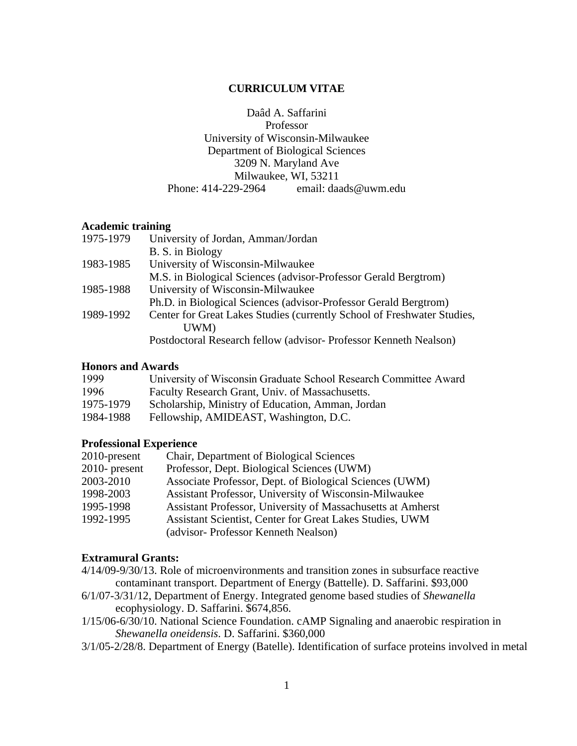# **CURRICULUM VITAE**

Daâd A. Saffarini Professor University of Wisconsin-Milwaukee Department of Biological Sciences 3209 N. Maryland Ave Milwaukee, WI, 53211<br>Phone: 414-229-2964 email: daa email: daads@uwm.edu

#### **Academic training**

| 1975-1979 | University of Jordan, Amman/Jordan                                      |
|-----------|-------------------------------------------------------------------------|
|           | B. S. in Biology                                                        |
| 1983-1985 | University of Wisconsin-Milwaukee                                       |
|           | M.S. in Biological Sciences (advisor-Professor Gerald Bergtrom)         |
| 1985-1988 | University of Wisconsin-Milwaukee                                       |
|           | Ph.D. in Biological Sciences (advisor-Professor Gerald Bergtrom)        |
| 1989-1992 | Center for Great Lakes Studies (currently School of Freshwater Studies, |
|           | UWM)                                                                    |
|           | Postdoctoral Research fellow (advisor-Professor Kenneth Nealson)        |

#### **Honors and Awards**

| 1999      | University of Wisconsin Graduate School Research Committee Award |
|-----------|------------------------------------------------------------------|
| 1996      | Faculty Research Grant, Univ. of Massachusetts.                  |
| 1975-1979 | Scholarship, Ministry of Education, Amman, Jordan                |
| 1984-1988 | Fellowship, AMIDEAST, Washington, D.C.                           |

### **Professional Experience**

| 2010-present     | Chair, Department of Biological Sciences                    |
|------------------|-------------------------------------------------------------|
| $2010$ - present | Professor, Dept. Biological Sciences (UWM)                  |
| 2003-2010        | Associate Professor, Dept. of Biological Sciences (UWM)     |
| 1998-2003        | Assistant Professor, University of Wisconsin-Milwaukee      |
| 1995-1998        | Assistant Professor, University of Massachusetts at Amherst |
| 1992-1995        | Assistant Scientist, Center for Great Lakes Studies, UWM    |
|                  | (advisor-Professor Kenneth Nealson)                         |

### **Extramural Grants:**

- 4/14/09-9/30/13. Role of microenvironments and transition zones in subsurface reactive contaminant transport. Department of Energy (Battelle). D. Saffarini. \$93,000
- 6/1/07-3/31/12, Department of Energy. Integrated genome based studies of *Shewanella* ecophysiology. D. Saffarini. \$674,856.
- 1/15/06-6/30/10. National Science Foundation. cAMP Signaling and anaerobic respiration in *Shewanella oneidensis*. D. Saffarini. \$360,000
- 3/1/05-2/28/8. Department of Energy (Batelle). Identification of surface proteins involved in metal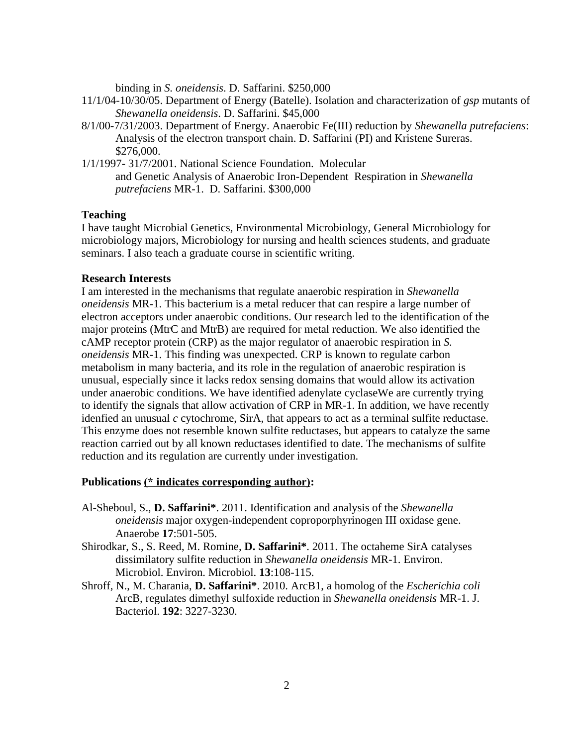binding in *S. oneidensis*. D. Saffarini. \$250,000

- 11/1/04-10/30/05. Department of Energy (Batelle). Isolation and characterization of *gsp* mutants of *Shewanella oneidensis*. D. Saffarini. \$45,000
- 8/1/00-7/31/2003. Department of Energy. Anaerobic Fe(III) reduction by *Shewanella putrefaciens*: Analysis of the electron transport chain. D. Saffarini (PI) and Kristene Sureras. \$276,000.
- 1/1/1997- 31/7/2001. National Science Foundation. Molecular and Genetic Analysis of Anaerobic Iron-Dependent Respiration in *Shewanella putrefaciens* MR-1. D. Saffarini. \$300,000

# **Teaching**

I have taught Microbial Genetics, Environmental Microbiology, General Microbiology for microbiology majors, Microbiology for nursing and health sciences students, and graduate seminars. I also teach a graduate course in scientific writing.

# **Research Interests**

I am interested in the mechanisms that regulate anaerobic respiration in *Shewanella oneidensis* MR-1. This bacterium is a metal reducer that can respire a large number of electron acceptors under anaerobic conditions. Our research led to the identification of the major proteins (MtrC and MtrB) are required for metal reduction. We also identified the cAMP receptor protein (CRP) as the major regulator of anaerobic respiration in *S. oneidensis* MR-1. This finding was unexpected. CRP is known to regulate carbon metabolism in many bacteria, and its role in the regulation of anaerobic respiration is unusual, especially since it lacks redox sensing domains that would allow its activation under anaerobic conditions. We have identified adenylate cyclaseWe are currently trying to identify the signals that allow activation of CRP in MR-1. In addition, we have recently idenfied an unusual *c* cytochrome, SirA, that appears to act as a terminal sulfite reductase. This enzyme does not resemble known sulfite reductases, but appears to catalyze the same reaction carried out by all known reductases identified to date. The mechanisms of sulfite reduction and its regulation are currently under investigation.

### **Publications (\* indicates corresponding author):**

- Al-Sheboul, S., **D. Saffarini\***. 2011. Identification and analysis of the *Shewanella oneidensis* major oxygen-independent coproporphyrinogen III oxidase gene. Anaerobe **17**:501-505.
- Shirodkar, S., S. Reed, M. Romine, **D. Saffarini\***. 2011. The octaheme SirA catalyses dissimilatory sulfite reduction in *Shewanella oneidensis* MR-1. Environ. Microbiol. Environ. Microbiol. **13**:108-115.
- Shroff, N., M. Charania, **D. Saffarini\***. 2010. ArcB1, a homolog of the *Escherichia coli* ArcB, regulates dimethyl sulfoxide reduction in *Shewanella oneidensis* MR-1. J. Bacteriol. **192**: 3227-3230.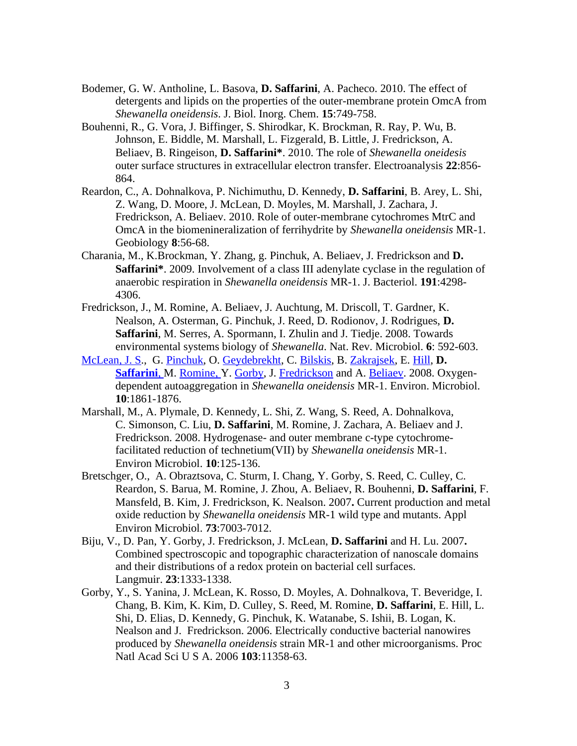- Bodemer, G. W. Antholine, L. Basova, **D. Saffarini**, A. Pacheco. 2010. The effect of detergents and lipids on the properties of the outer-membrane protein OmcA from *Shewanella oneidensis*. J. Biol. Inorg. Chem. **15**:749-758.
- Bouhenni, R., G. Vora, J. Biffinger, S. Shirodkar, K. Brockman, R. Ray, P. Wu, B. Johnson, E. Biddle, M. Marshall, L. Fizgerald, B. Little, J. Fredrickson, A. Beliaev, B. Ringeison, **D. Saffarini\***. 2010. The role of *Shewanella oneidesis* outer surface structures in extracellular electron transfer. Electroanalysis **22**:856- 864.
- Reardon, C., A. Dohnalkova, P. Nichimuthu, D. Kennedy, **D. Saffarini**, B. Arey, L. Shi, Z. Wang, D. Moore, J. McLean, D. Moyles, M. Marshall, J. Zachara, J. Fredrickson, A. Beliaev. 2010. Role of outer-membrane cytochromes MtrC and OmcA in the biomenineralization of ferrihydrite by *Shewanella oneidensis* MR-1. Geobiology **8**:56-68.
- Charania, M., K.Brockman, Y. Zhang, g. Pinchuk, A. Beliaev, J. Fredrickson and **D. Saffarini\***. 2009. Involvement of a class III adenylate cyclase in the regulation of anaerobic respiration in *Shewanella oneidensis* MR-1. J. Bacteriol. **191**:4298- 4306.
- Fredrickson, J., M. Romine, A. Beliaev, J. Auchtung, M. Driscoll, T. Gardner, K. Nealson, A. Osterman, G. Pinchuk, J. Reed, D. Rodionov, J. Rodrigues, **D. Saffarini**, M. Serres, A. Spormann, I. Zhulin and J. Tiedje. 2008. Towards environmental systems biology of *Shewanella*. Nat. Rev. Microbiol. **6**: 592-603.
- [McLean, J. S.](http://www.ncbi.nlm.nih.gov/sites/entrez?Db=pubmed&Cmd=Search&Term=%22McLean%20JS%22%5BAuthor%5D&itool=EntrezSystem2.PEntrez.Pubmed.Pubmed_ResultsPanel.Pubmed_DiscoveryPanel.Pubmed_RVAbstractPlus), G. [Pinchuk,](http://www.ncbi.nlm.nih.gov/sites/entrez?Db=pubmed&Cmd=Search&Term=%22Pinchuk%20GE%22%5BAuthor%5D&itool=EntrezSystem2.PEntrez.Pubmed.Pubmed_ResultsPanel.Pubmed_DiscoveryPanel.Pubmed_RVAbstractPlus) O. [Geydebrekht,](http://www.ncbi.nlm.nih.gov/sites/entrez?Db=pubmed&Cmd=Search&Term=%22Geydebrekht%20OV%22%5BAuthor%5D&itool=EntrezSystem2.PEntrez.Pubmed.Pubmed_ResultsPanel.Pubmed_DiscoveryPanel.Pubmed_RVAbstractPlus) C. [Bilskis,](http://www.ncbi.nlm.nih.gov/sites/entrez?Db=pubmed&Cmd=Search&Term=%22Bilskis%20CL%22%5BAuthor%5D&itool=EntrezSystem2.PEntrez.Pubmed.Pubmed_ResultsPanel.Pubmed_DiscoveryPanel.Pubmed_RVAbstractPlus) B. [Zakrajsek,](http://www.ncbi.nlm.nih.gov/sites/entrez?Db=pubmed&Cmd=Search&Term=%22Zakrajsek%20BA%22%5BAuthor%5D&itool=EntrezSystem2.PEntrez.Pubmed.Pubmed_ResultsPanel.Pubmed_DiscoveryPanel.Pubmed_RVAbstractPlus) E. [Hill,](http://www.ncbi.nlm.nih.gov/sites/entrez?Db=pubmed&Cmd=Search&Term=%22Hill%20EA%22%5BAuthor%5D&itool=EntrezSystem2.PEntrez.Pubmed.Pubmed_ResultsPanel.Pubmed_DiscoveryPanel.Pubmed_RVAbstractPlus) **D. Saffarini**, M. [Romine, Y](http://www.ncbi.nlm.nih.gov/sites/entrez?Db=pubmed&Cmd=Search&Term=%22Romine%20MF%22%5BAuthor%5D&itool=EntrezSystem2.PEntrez.Pubmed.Pubmed_ResultsPanel.Pubmed_DiscoveryPanel.Pubmed_RVAbstractPlus). [Gorby,](http://www.ncbi.nlm.nih.gov/sites/entrez?Db=pubmed&Cmd=Search&Term=%22Gorby%20YA%22%5BAuthor%5D&itool=EntrezSystem2.PEntrez.Pubmed.Pubmed_ResultsPanel.Pubmed_DiscoveryPanel.Pubmed_RVAbstractPlus) J. [Fredrickson](http://www.ncbi.nlm.nih.gov/sites/entrez?Db=pubmed&Cmd=Search&Term=%22Fredrickson%20JK%22%5BAuthor%5D&itool=EntrezSystem2.PEntrez.Pubmed.Pubmed_ResultsPanel.Pubmed_DiscoveryPanel.Pubmed_RVAbstractPlus) and A. [Beliaev.](http://www.ncbi.nlm.nih.gov/sites/entrez?Db=pubmed&Cmd=Search&Term=%22Beliaev%20AS%22%5BAuthor%5D&itool=EntrezSystem2.PEntrez.Pubmed.Pubmed_ResultsPanel.Pubmed_DiscoveryPanel.Pubmed_RVAbstractPlus) 2008. Oxygendependent autoaggregation in *Shewanella oneidensis* MR-1. Environ. Microbiol. **10**:1861-1876.
- Marshall, M., A. Plymale, D. Kennedy, L. Shi, Z. Wang, S. Reed, A. Dohnalkova, C. Simonson, C. Liu, **D. Saffarini**, M. Romine, J. Zachara, A. Beliaev and J. Fredrickson. 2008. Hydrogenase- and outer membrane c-type cytochromefacilitated reduction of technetium(VII) by *Shewanella oneidensis* MR-1. Environ Microbiol. **10**:125-136.
- Bretschger, O., A. Obraztsova, C. Sturm, I. Chang, Y. Gorby, S. Reed, C. Culley, C. Reardon, S. Barua, M. Romine, J. Zhou, A. Beliaev, R. Bouhenni, **D. Saffarini**, F. Mansfeld, B. Kim, J. Fredrickson, K. Nealson. 2007**.** Current production and metal oxide reduction by *Shewanella oneidensis* MR-1 wild type and mutants. Appl Environ Microbiol. **73**:7003-7012.
- Biju, V., D. Pan, Y. Gorby, J. Fredrickson, J. McLean, **D. Saffarini** and H. Lu. 2007**.**  Combined spectroscopic and topographic characterization of nanoscale domains and their distributions of a redox protein on bacterial cell surfaces. Langmuir. **23**:1333-1338.
- Gorby, Y., S. Yanina, J. McLean, K. Rosso, D. Moyles, A. Dohnalkova, T. Beveridge, I. Chang, B. Kim, K. Kim, D. Culley, S. Reed, M. Romine, **D. Saffarini**, E. Hill, L. Shi, D. Elias, D. Kennedy, G. Pinchuk, K. Watanabe, S. Ishii, B. Logan, K. Nealson and J. Fredrickson. 2006. Electrically conductive bacterial nanowires produced by *Shewanella oneidensis* strain MR-1 and other microorganisms. Proc Natl Acad Sci U S A. 2006 **103**:11358-63.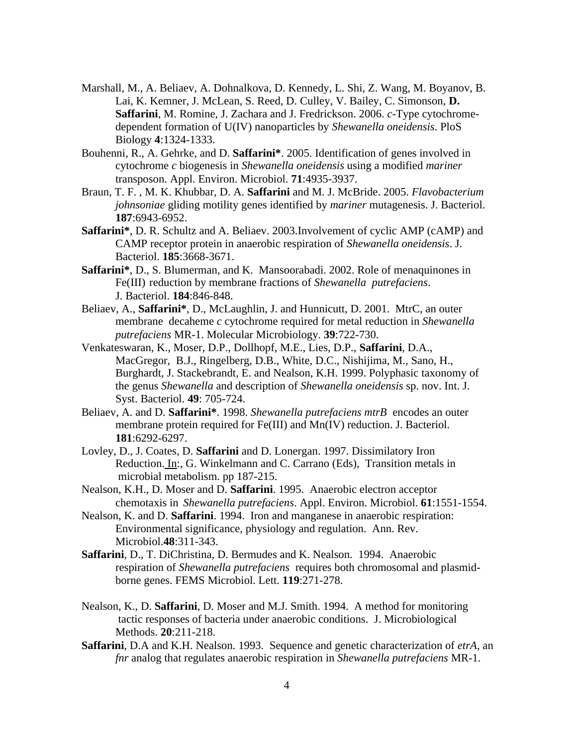- Marshall, M., A. Beliaev, A. Dohnalkova, D. Kennedy, L. Shi, Z. Wang, M. Boyanov, B. Lai, K. Kemner, J. McLean, S. Reed, D. Culley, V. Bailey, C. Simonson, **D. Saffarini**, M. Romine, J. Zachara and J. Fredrickson. 2006. *c*-Type cytochromedependent formation of U(IV) nanoparticles by *Shewanella oneidensis*. PloS Biology **4**:1324-1333.
- Bouhenni, R., A. Gehrke, and D. **Saffarini\***. 2005. Identification of genes involved in cytochrome *c* biogenesis in *Shewanella oneidensis* using a modified *mariner* transposon. Appl. Environ. Microbiol. **71**:4935-3937.
- Braun, T. F. , M. K. Khubbar, D. A. **Saffarini** and M. J. McBride. 2005. *Flavobacterium johnsoniae* gliding motility genes identified by *mariner* mutagenesis. J. Bacteriol. **187**:6943-6952.
- **Saffarini\***, D. R. Schultz and A. Beliaev. 2003.Involvement of cyclic AMP (cAMP) and CAMP receptor protein in anaerobic respiration of *Shewanella oneidensis*. J. Bacteriol. **185**:3668-3671.
- **Saffarini\***, D., S. Blumerman, and K. Mansoorabadi. 2002. Role of menaquinones in Fe(III) reduction by membrane fractions of *Shewanella putrefaciens*. J. Bacteriol. **184**:846-848.
- Beliaev, A., **Saffarini\***, D., McLaughlin, J. and Hunnicutt, D. 2001. MtrC, an outer membrane decaheme *c* cytochrome required for metal reduction in *Shewanella putrefaciens* MR-1. Molecular Microbiology. **39**:722-730.
- Venkateswaran, K., Moser, D.P., Dollhopf, M.E., Lies, D.P., **Saffarini**, D.A., MacGregor, B.J., Ringelberg, D.B., White, D.C., Nishijima, M., Sano, H., Burghardt, J. Stackebrandt, E. and Nealson, K.H. 1999. Polyphasic taxonomy of the genus *Shewanella* and description of *Shewanella oneidensis* sp. nov. Int. J. Syst. Bacteriol. **49**: 705-724.
- Beliaev, A. and D. **Saffarini\***. 1998. *Shewanella putrefaciens mtrB* encodes an outer membrane protein required for Fe(III) and Mn(IV) reduction. J. Bacteriol. **181**:6292-6297.
- Lovley, D., J. Coates, D. **Saffarini** and D. Lonergan. 1997. Dissimilatory Iron Reduction. In:, G. Winkelmann and C. Carrano (Eds), Transition metals in microbial metabolism. pp 187-215.
- Nealson, K.H., D. Moser and D. **Saffarini**. 1995. Anaerobic electron acceptor chemotaxis in *Shewanella putrefaciens*. Appl. Environ. Microbiol. **61**:1551-1554.
- Nealson, K. and D. **Saffarini**. 1994. Iron and manganese in anaerobic respiration: Environmental significance, physiology and regulation. Ann. Rev. Microbiol.**48**:311-343.
- **Saffarini**, D., T. DiChristina, D. Bermudes and K. Nealson. 1994. Anaerobic respiration of *Shewanella putrefaciens* requires both chromosomal and plasmidborne genes. FEMS Microbiol. Lett. **119**:271-278.
- Nealson, K., D. **Saffarini**, D. Moser and M.J. Smith. 1994. A method for monitoring tactic responses of bacteria under anaerobic conditions. J. Microbiological Methods. **20**:211-218.
- **Saffarini**, D.A and K.H. Nealson. 1993. Sequence and genetic characterization of *etrA*, an *fnr* analog that regulates anaerobic respiration in *Shewanella putrefaciens* MR-1.